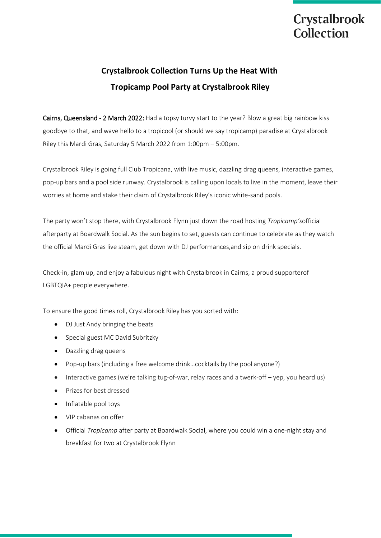# **Crystalbrook** Collection

# **Crystalbrook Collection Turns Up the Heat With Tropicamp Pool Party at Crystalbrook Riley**

Cairns, Queensland - 2 March 2022: Had a topsy turvy start to the year? Blow a great big rainbow kiss goodbye to that, and wave hello to a tropicool (or should we say tropicamp) paradise at Crystalbrook Riley this Mardi Gras, Saturday 5 March 2022 from 1:00pm – 5:00pm.

Crystalbrook Riley is going full Club Tropicana, with live music, dazzling drag queens, interactive games, pop-up bars and a pool side runway. Crystalbrook is calling upon locals to live in the moment, leave their worries at home and stake their claim of Crystalbrook Riley's iconic white-sand pools.

The party won't stop there, with Crystalbrook Flynn just down the road hosting *Tropicamp's*official afterparty at Boardwalk Social. As the sun begins to set, guests can continue to celebrate as they watch the official Mardi Gras live steam, get down with DJ performances,and sip on drink specials.

Check-in, glam up, and enjoy a fabulous night with Crystalbrook in Cairns, a proud supporterof LGBTQIA+ people everywhere.

To ensure the good times roll, Crystalbrook Riley has you sorted with:

- DJ Just Andy bringing the beats
- Special guest MC David Subritzky
- Dazzling drag queens
- Pop-up bars (including a free welcome drink…cocktails by the pool anyone?)
- Interactive games (we're talking tug-of-war, relay races and a twerk-off yep, you heard us)
- Prizes for best dressed
- Inflatable pool toys
- VIP cabanas on offer
- Official *Tropicamp* after party at Boardwalk Social, where you could win a one-night stay and breakfast for two at Crystalbrook Flynn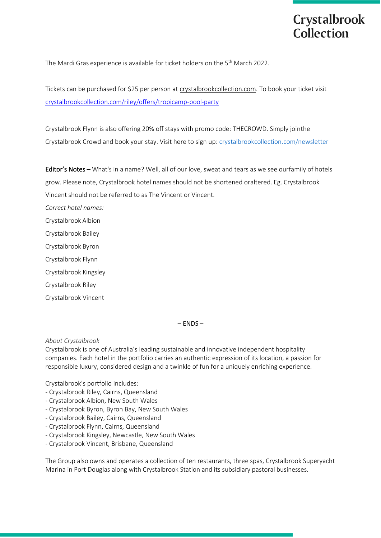The Mardi Gras experience is available for ticket holders on the 5<sup>th</sup> March 2022.

Tickets can be purchased for \$25 per person a[t crystalbrookcollection.com.](http://www.crystalbrookcollection.com/) To book your ticket visit [crystalbrookcollection.com/riley/offers/tropicamp-pool-party](http://crystalbrookcollection.com/riley/offers/tropicamp-pool-party)

Crystalbrook Flynn is also offering 20% off stays with promo code: THECROWD. Simply jointhe Crystalbrook Crowd and book your stay. Visit here to sign up[: crystalbrookcollection.com/newsletter](https://www.crystalbrookcollection.com/newsletter)

Editor's Notes – What's in a name? Well, all of our love, sweat and tears as we see ourfamily of hotels grow. Please note, Crystalbrook hotel names should not be shortened oraltered. Eg. Crystalbrook

Vincent should not be referred to as The Vincent or Vincent.

*Correct hotel names:*

Crystalbrook Albion

Crystalbrook Bailey

Crystalbrook Byron

Crystalbrook Flynn

Crystalbrook Kingsley

Crystalbrook Riley

Crystalbrook Vincent

– ENDS –

*About Crystalbrook*

Crystalbrook is one of Australia's leading sustainable and innovative independent hospitality companies. Each hotel in the portfolio carries an authentic expression of its location, a passion for responsible luxury, considered design and a twinkle of fun for a uniquely enriching experience.

Crystalbrook's portfolio includes:

- Crystalbrook Riley, Cairns, Queensland
- Crystalbrook Albion, New South Wales
- Crystalbrook Byron, Byron Bay, New South Wales
- Crystalbrook Bailey, Cairns, Queensland
- Crystalbrook Flynn, Cairns, Queensland
- Crystalbrook Kingsley, Newcastle, New South Wales
- Crystalbrook Vincent, Brisbane, Queensland

The Group also owns and operates a collection of ten restaurants, three spas, Crystalbrook Superyacht Marina in Port Douglas along with Crystalbrook Station and its subsidiary pastoral businesses.